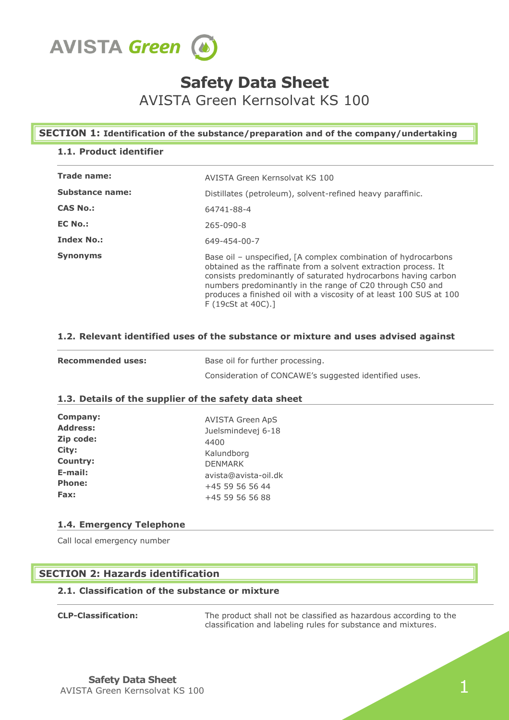

# **Safety Data Sheet**

AVISTA Green Kernsolvat KS 100

# **SECTION 1: Identification of the substance/preparation and of the company/undertaking**

# **1.1. Product identifier**

| <b>Trade name:</b>     | AVISTA Green Kernsolvat KS 100                                                                                                                                                                                                                                                                                                                              |  |  |
|------------------------|-------------------------------------------------------------------------------------------------------------------------------------------------------------------------------------------------------------------------------------------------------------------------------------------------------------------------------------------------------------|--|--|
| <b>Substance name:</b> | Distillates (petroleum), solvent-refined heavy paraffinic.                                                                                                                                                                                                                                                                                                  |  |  |
| <b>CAS No.:</b>        | 64741-88-4                                                                                                                                                                                                                                                                                                                                                  |  |  |
| <b>EC No.:</b>         | 265-090-8                                                                                                                                                                                                                                                                                                                                                   |  |  |
| <b>Index No.:</b>      | 649-454-00-7                                                                                                                                                                                                                                                                                                                                                |  |  |
| <b>Synonyms</b>        | Base oil – unspecified, [A complex combination of hydrocarbons<br>obtained as the raffinate from a solvent extraction process. It<br>consists predominantly of saturated hydrocarbons having carbon<br>numbers predominantly in the range of C20 through C50 and<br>produces a finished oil with a viscosity of at least 100 SUS at 100<br>F(19cSt at 40C). |  |  |

# **1.2. Relevant identified uses of the substance or mixture and uses advised against**

| <b>Recommended uses:</b> | Base oil for further processing.                      |
|--------------------------|-------------------------------------------------------|
|                          | Consideration of CONCAWE's suggested identified uses. |

# **1.3. Details of the supplier of the safety data sheet**

| <b>Company:</b> | <b>AVISTA Green ApS</b> |
|-----------------|-------------------------|
| <b>Address:</b> | Juelsmindevej 6-18      |
| Zip code:       | 4400                    |
| City:           | Kalundborg              |
| <b>Country:</b> | <b>DENMARK</b>          |
| E-mail:         | avista@avista-oil.dk    |
| <b>Phone:</b>   | +45 59 56 56 44         |
| Fax:            | +45 59 56 56 88         |

# **1.4. Emergency Telephone**

Call local emergency number

# **SECTION 2: Hazards identification**

# **2.1. Classification of the substance or mixture**

| <b>CLP-Classification:</b> |
|----------------------------|
|----------------------------|

The product shall not be classified as hazardous according to the classification and labeling rules for substance and mixtures.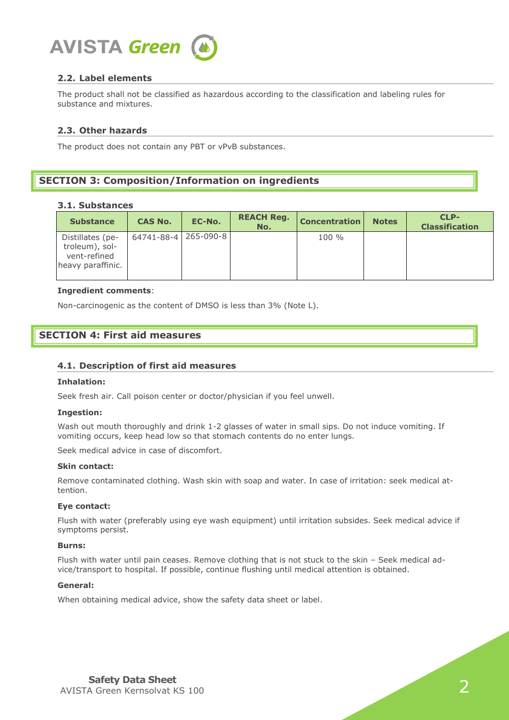

# **2.2. Label elements**

The product shall not be classified as hazardous according to the classification and labeling rules for substance and mixtures.

## **2.3. Other hazards**

The product does not contain any PBT or vPvB substances.

# **SECTION 3: Composition/Information on ingredients**

#### **3.1. Substances**

| <b>Substance</b>                                                        | <b>CAS No.</b>       | EC-No. | <b>REACH Reg.</b><br>No. | <b>Concentration</b> | <b>Notes</b> | CLP-<br><b>Classification</b> |
|-------------------------------------------------------------------------|----------------------|--------|--------------------------|----------------------|--------------|-------------------------------|
| Distillates (pe-<br>troleum), sol-<br>vent-refined<br>heavy paraffinic. | 64741-88-4 265-090-8 |        |                          | $100 \%$             |              |                               |

#### **Ingredient comments**:

Non-carcinogenic as the content of DMSO is less than 3% (Note L).

# **SECTION 4: First aid measures**

#### **4.1. Description of first aid measures**

#### **Inhalation:**

Seek fresh air. Call poison center or doctor/physician if you feel unwell.

#### **Ingestion:**

Wash out mouth thoroughly and drink 1-2 glasses of water in small sips. Do not induce vomiting. If vomiting occurs, keep head low so that stomach contents do no enter lungs.

Seek medical advice in case of discomfort.

#### **Skin contact:**

Remove contaminated clothing. Wash skin with soap and water. In case of irritation: seek medical attention.

#### **Eye contact:**

Flush with water (preferably using eye wash equipment) until irritation subsides. Seek medical advice if symptoms persist.

#### **Burns:**

Flush with water until pain ceases. Remove clothing that is not stuck to the skin – Seek medical advice/transport to hospital. If possible, continue flushing until medical attention is obtained.

## **General:**

When obtaining medical advice, show the safety data sheet or label.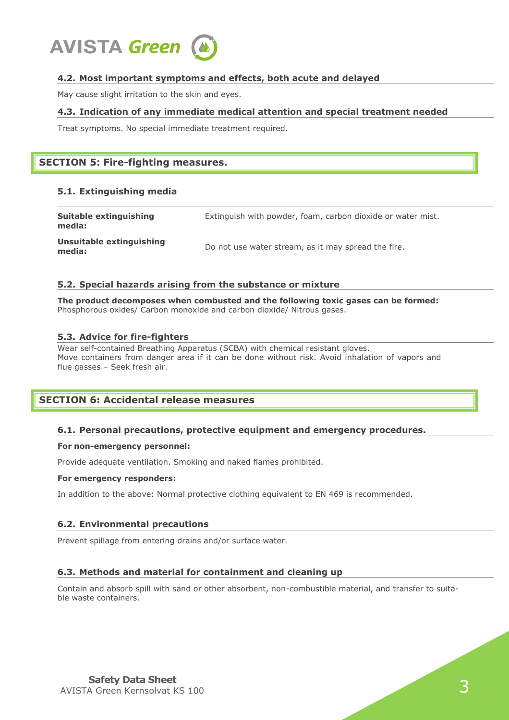

# **4.2. Most important symptoms and effects, both acute and delayed**

May cause slight irritation to the skin and eyes.

## **4.3. Indication of any immediate medical attention and special treatment needed**

Treat symptoms. No special immediate treatment required.

# **SECTION 5: Fire-fighting measures.**

## **5.1. Extinguishing media**

| <b>Suitable extinguishing</b><br>media: | Extinguish with powder, foam, carbon dioxide or water mist. |
|-----------------------------------------|-------------------------------------------------------------|
| Unsuitable extinguishing<br>media:      | Do not use water stream, as it may spread the fire.         |

#### **5.2. Special hazards arising from the substance or mixture**

**The product decomposes when combusted and the following toxic gases can be formed:** Phosphorous oxides/ Carbon monoxide and carbon dioxide/ Nitrous gases.

## **5.3. Advice for fire-fighters**

Wear self-contained Breathing Apparatus (SCBA) with chemical resistant gloves. Move containers from danger area if it can be done without risk. Avoid inhalation of vapors and flue gasses – Seek fresh air.

# **SECTION 6: Accidental release measures**

# **6.1. Personal precautions, protective equipment and emergency procedures.**

#### **For non-emergency personnel:**

Provide adequate ventilation. Smoking and naked flames prohibited.

#### **For emergency responders:**

In addition to the above: Normal protective clothing equivalent to EN 469 is recommended.

#### **6.2. Environmental precautions**

Prevent spillage from entering drains and/or surface water.

# **6.3. Methods and material for containment and cleaning up**

Contain and absorb spill with sand or other absorbent, non-combustible material, and transfer to suitable waste containers.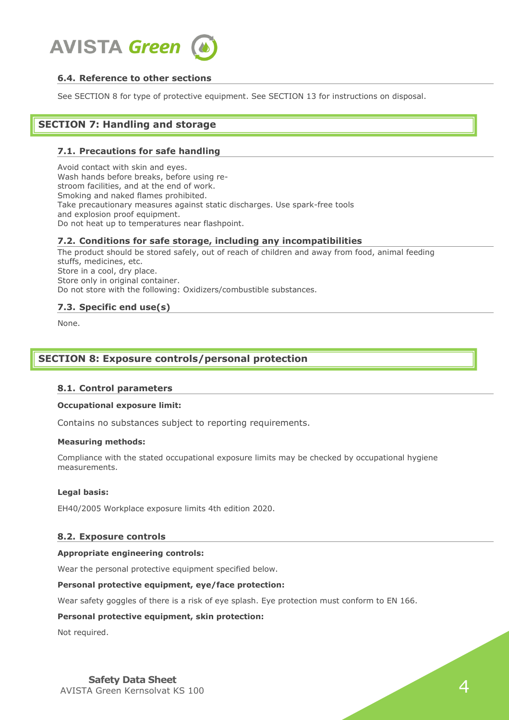

# **6.4. Reference to other sections**

See SECTION 8 for type of protective equipment. See SECTION 13 for instructions on disposal.

# **SECTION 7: Handling and storage**

## **7.1. Precautions for safe handling**

Avoid contact with skin and eyes. Wash hands before breaks, before using restroom facilities, and at the end of work. Smoking and naked flames prohibited. Take precautionary measures against static discharges. Use spark-free tools and explosion proof equipment. Do not heat up to temperatures near flashpoint.

#### **7.2. Conditions for safe storage, including any incompatibilities**

The product should be stored safely, out of reach of children and away from food, animal feeding stuffs, medicines, etc. Store in a cool, dry place. Store only in original container. Do not store with the following: Oxidizers/combustible substances.

## **7.3. Specific end use(s)**

None.

# **SECTION 8: Exposure controls/personal protection**

#### **8.1. Control parameters**

#### **Occupational exposure limit:**

Contains no substances subject to reporting requirements.

#### **Measuring methods:**

Compliance with the stated occupational exposure limits may be checked by occupational hygiene measurements.

#### **Legal basis:**

EH40/2005 Workplace exposure limits 4th edition 2020.

#### **8.2. Exposure controls**

#### **Appropriate engineering controls:**

Wear the personal protective equipment specified below.

#### **Personal protective equipment, eye/face protection:**

Wear safety goggles of there is a risk of eye splash. Eye protection must conform to EN 166.

#### **Personal protective equipment, skin protection:**

Not required.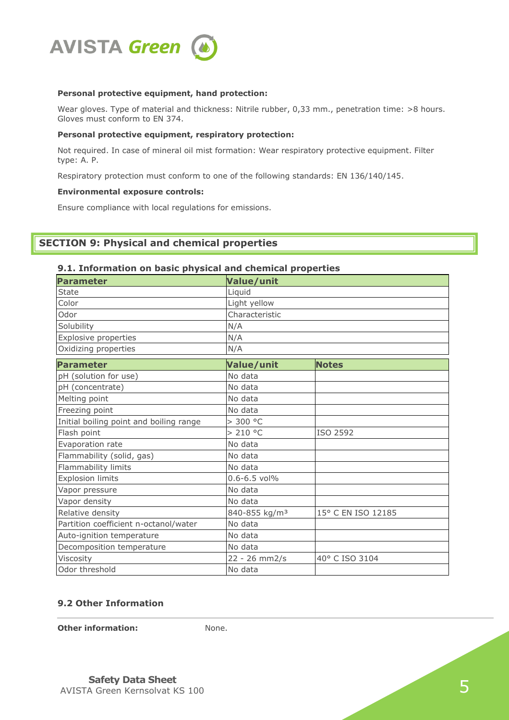

#### **Personal protective equipment, hand protection:**

Wear gloves. Type of material and thickness: Nitrile rubber, 0,33 mm., penetration time: >8 hours. Gloves must conform to EN 374.

#### **Personal protective equipment, respiratory protection:**

Not required. In case of mineral oil mist formation: Wear respiratory protective equipment. Filter type: A. P.

Respiratory protection must conform to one of the following standards: EN 136/140/145.

#### **Environmental exposure controls:**

Ensure compliance with local regulations for emissions.

# **SECTION 9: Physical and chemical properties**

# **9.1. Information on basic physical and chemical properties**

| Value/unit                |                    |  |
|---------------------------|--------------------|--|
| Liquid                    |                    |  |
| Light yellow              |                    |  |
| Characteristic            |                    |  |
| N/A                       |                    |  |
| N/A                       |                    |  |
| N/A                       |                    |  |
| Value/unit                | <b>Notes</b>       |  |
| No data                   |                    |  |
| No data                   |                    |  |
| No data                   |                    |  |
| No data                   |                    |  |
| > 300 °C                  |                    |  |
| > 210 °C                  | ISO 2592           |  |
| No data                   |                    |  |
| No data                   |                    |  |
| No data                   |                    |  |
| $0.6 - 6.5$ vol%          |                    |  |
| No data                   |                    |  |
| No data                   |                    |  |
| 840-855 kg/m <sup>3</sup> | 15° C EN ISO 12185 |  |
| No data                   |                    |  |
| No data                   |                    |  |
| No data                   |                    |  |
| 22 - 26 mm2/s             | 40° C ISO 3104     |  |
| No data                   |                    |  |
|                           |                    |  |

# **9.2 Other Information**

**Other information:** None.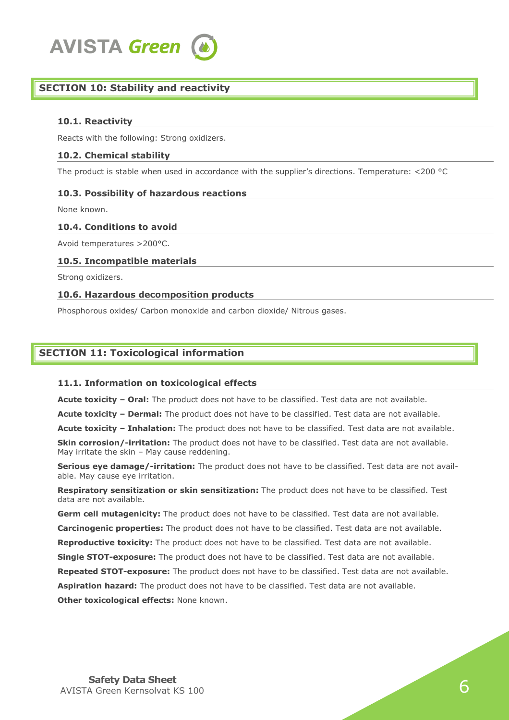

# **SECTION 10: Stability and reactivity**

## **10.1. Reactivity**

Reacts with the following: Strong oxidizers.

### **10.2. Chemical stability**

The product is stable when used in accordance with the supplier's directions. Temperature: <200 °C

## **10.3. Possibility of hazardous reactions**

None known.

#### **10.4. Conditions to avoid**

Avoid temperatures >200°C.

## **10.5. Incompatible materials**

Strong oxidizers.

## **10.6. Hazardous decomposition products**

Phosphorous oxides/ Carbon monoxide and carbon dioxide/ Nitrous gases.

# **SECTION 11: Toxicological information**

#### **11.1. Information on toxicological effects**

**Acute toxicity – Oral:** The product does not have to be classified. Test data are not available.

**Acute toxicity – Dermal:** The product does not have to be classified. Test data are not available.

**Acute toxicity – Inhalation:** The product does not have to be classified. Test data are not available.

**Skin corrosion/-irritation:** The product does not have to be classified. Test data are not available. May irritate the skin – May cause reddening.

**Serious eye damage/-irritation:** The product does not have to be classified. Test data are not available. May cause eye irritation.

**Respiratory sensitization or skin sensitization:** The product does not have to be classified. Test data are not available.

**Germ cell mutagenicity:** The product does not have to be classified. Test data are not available. **Carcinogenic properties:** The product does not have to be classified. Test data are not available. **Reproductive toxicity:** The product does not have to be classified. Test data are not available. **Single STOT-exposure:** The product does not have to be classified. Test data are not available.

**Repeated STOT-exposure:** The product does not have to be classified. Test data are not available.

**Aspiration hazard:** The product does not have to be classified. Test data are not available.

**Other toxicological effects:** None known.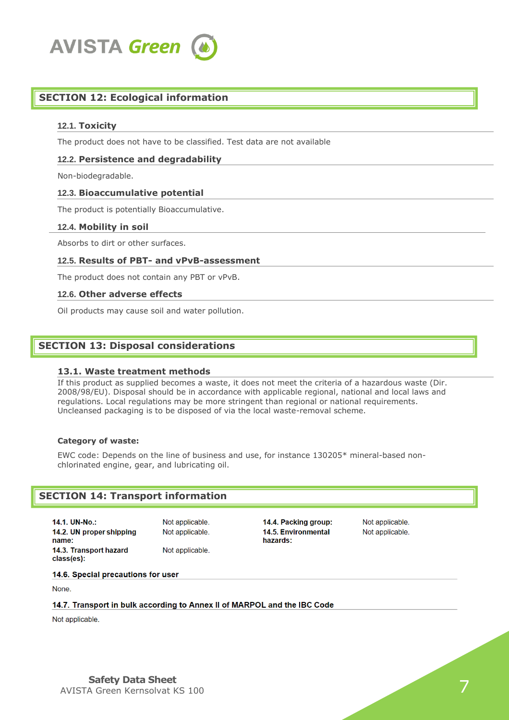

# **SECTION 12: Ecological information**

### **12.1. Toxicity**

The product does not have to be classified. Test data are not available

### **12.2. Persistence and degradability**

Non-biodegradable.

#### **12.3. Bioaccumulative potential**

The product is potentially Bioaccumulative.

#### **12.4. Mobility in soil**

Absorbs to dirt or other surfaces.

#### **12.5. Results of PBT- and vPvB-assessment**

The product does not contain any PBT or vPvB.

#### **12.6. Other adverse effects**

Oil products may cause soil and water pollution.

# **SECTION 13: Disposal considerations**

#### **13.1. Waste treatment methods**

If this product as supplied becomes a waste, it does not meet the criteria of a hazardous waste (Dir. 2008/98/EU). Disposal should be in accordance with applicable regional, national and local laws and regulations. Local regulations may be more stringent than regional or national requirements. Uncleansed packaging is to be disposed of via the local waste-removal scheme.

#### **Category of waste:**

EWC code: Depends on the line of business and use, for instance 130205\* mineral-based nonchlorinated engine, gear, and lubricating oil.

#### **SECTION 14: Transport information**

14.1. UN-No.: 14.2. UN proper shipping name: 14.3. Transport hazard class(es):

Not applicable. Not applicable. Not applicable. 14.4. Packing group: 14.5. Environmental hazards:

Not applicable. Not applicable.

14.6. Special precautions for user

None.

#### 14.7. Transport in bulk according to Annex II of MARPOL and the IBC Code

Not applicable.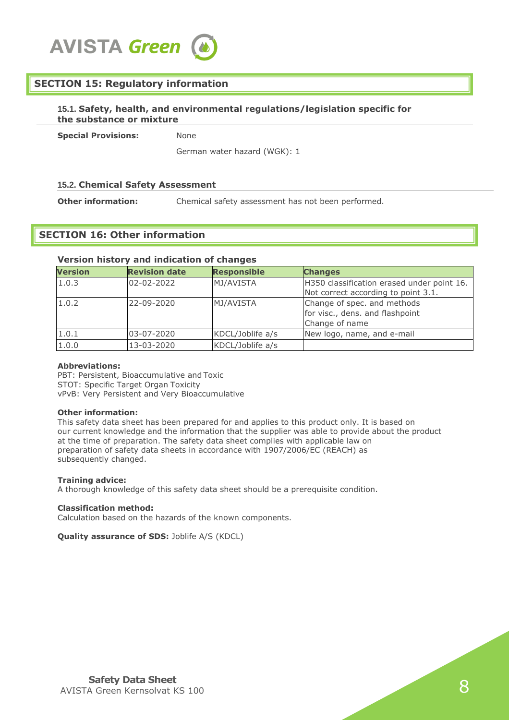# **SECTION 15: Regulatory information**

## **15.1. Safety, health, and environmental regulations/legislation specific for the substance or mixture**

**Special Provisions:** None

German water hazard (WGK): 1

# **15.2. Chemical Safety Assessment**

**Other information:** Chemical safety assessment has not been performed.

# **SECTION 16: Other information**

#### **Version history and indication of changes**

| <b>Version</b> | <b>Revision date</b> | <b>Responsible</b> | <b>Changes</b>                                                                    |
|----------------|----------------------|--------------------|-----------------------------------------------------------------------------------|
| 1.0.3          | 02-02-2022           | MJ/AVISTA          | H350 classification erased under point 16.<br>Not correct according to point 3.1. |
| 1.0.2          | 22-09-2020           | MJ/AVISTA          | Change of spec. and methods<br>for visc., dens. and flashpoint<br>Change of name  |
| 1.0.1          | 03-07-2020           | KDCL/Joblife a/s   | New logo, name, and e-mail                                                        |
| 1.0.0          | 13-03-2020           | KDCL/Joblife a/s   |                                                                                   |

#### **Abbreviations:**

PBT: Persistent, Bioaccumulative and Toxic STOT: Specific Target Organ Toxicity vPvB: Very Persistent and Very Bioaccumulative

#### **Other information:**

This safety data sheet has been prepared for and applies to this product only. It is based on our current knowledge and the information that the supplier was able to provide about the product at the time of preparation. The safety data sheet complies with applicable law on preparation of safety data sheets in accordance with 1907/2006/EC (REACH) as subsequently changed.

#### **Training advice:**

A thorough knowledge of this safety data sheet should be a prerequisite condition.

#### **Classification method:**

Calculation based on the hazards of the known components.

# **Quality assurance of SDS:** Joblife A/S (KDCL)